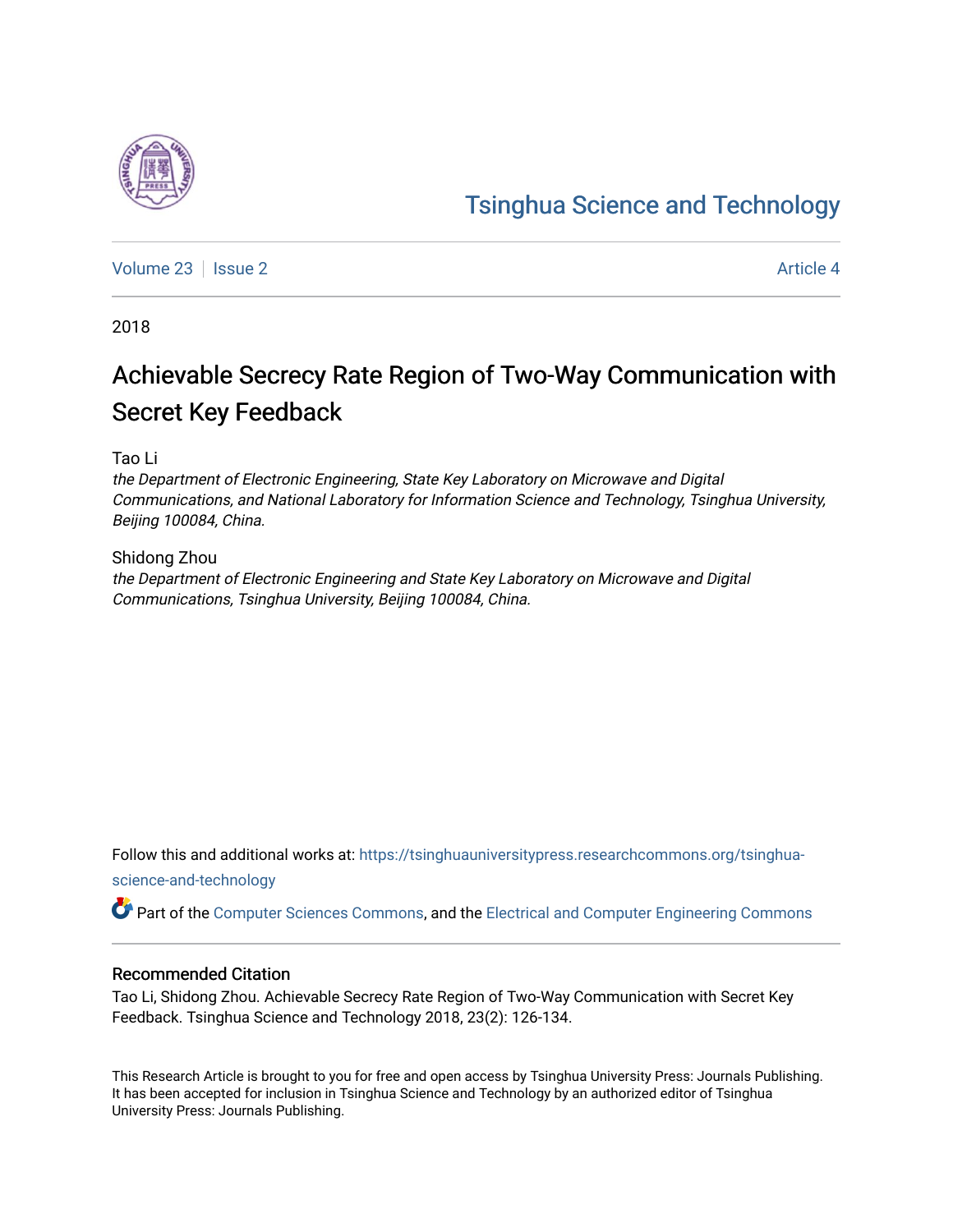# [Tsinghua Science and Technology](https://tsinghuauniversitypress.researchcommons.org/tsinghua-science-and-technology)

[Volume 23](https://tsinghuauniversitypress.researchcommons.org/tsinghua-science-and-technology/vol23) | [Issue 2](https://tsinghuauniversitypress.researchcommons.org/tsinghua-science-and-technology/vol23/iss2) Article 4

2018

# Achievable Secrecy Rate Region of Two-Way Communication with Secret Key Feedback

Tao Li

the Department of Electronic Engineering, State Key Laboratory on Microwave and Digital Communications, and National Laboratory for Information Science and Technology, Tsinghua University, Beijing 100084, China.

Shidong Zhou the Department of Electronic Engineering and State Key Laboratory on Microwave and Digital Communications, Tsinghua University, Beijing 100084, China.

Follow this and additional works at: [https://tsinghuauniversitypress.researchcommons.org/tsinghua](https://tsinghuauniversitypress.researchcommons.org/tsinghua-science-and-technology?utm_source=tsinghuauniversitypress.researchcommons.org%2Ftsinghua-science-and-technology%2Fvol23%2Fiss2%2F4&utm_medium=PDF&utm_campaign=PDFCoverPages)[science-and-technology](https://tsinghuauniversitypress.researchcommons.org/tsinghua-science-and-technology?utm_source=tsinghuauniversitypress.researchcommons.org%2Ftsinghua-science-and-technology%2Fvol23%2Fiss2%2F4&utm_medium=PDF&utm_campaign=PDFCoverPages)

Part of the [Computer Sciences Commons](http://network.bepress.com/hgg/discipline/142?utm_source=tsinghuauniversitypress.researchcommons.org%2Ftsinghua-science-and-technology%2Fvol23%2Fiss2%2F4&utm_medium=PDF&utm_campaign=PDFCoverPages), and the [Electrical and Computer Engineering Commons](http://network.bepress.com/hgg/discipline/266?utm_source=tsinghuauniversitypress.researchcommons.org%2Ftsinghua-science-and-technology%2Fvol23%2Fiss2%2F4&utm_medium=PDF&utm_campaign=PDFCoverPages)

# Recommended Citation

Tao Li, Shidong Zhou. Achievable Secrecy Rate Region of Two-Way Communication with Secret Key Feedback. Tsinghua Science and Technology 2018, 23(2): 126-134.

This Research Article is brought to you for free and open access by Tsinghua University Press: Journals Publishing. It has been accepted for inclusion in Tsinghua Science and Technology by an authorized editor of Tsinghua University Press: Journals Publishing.

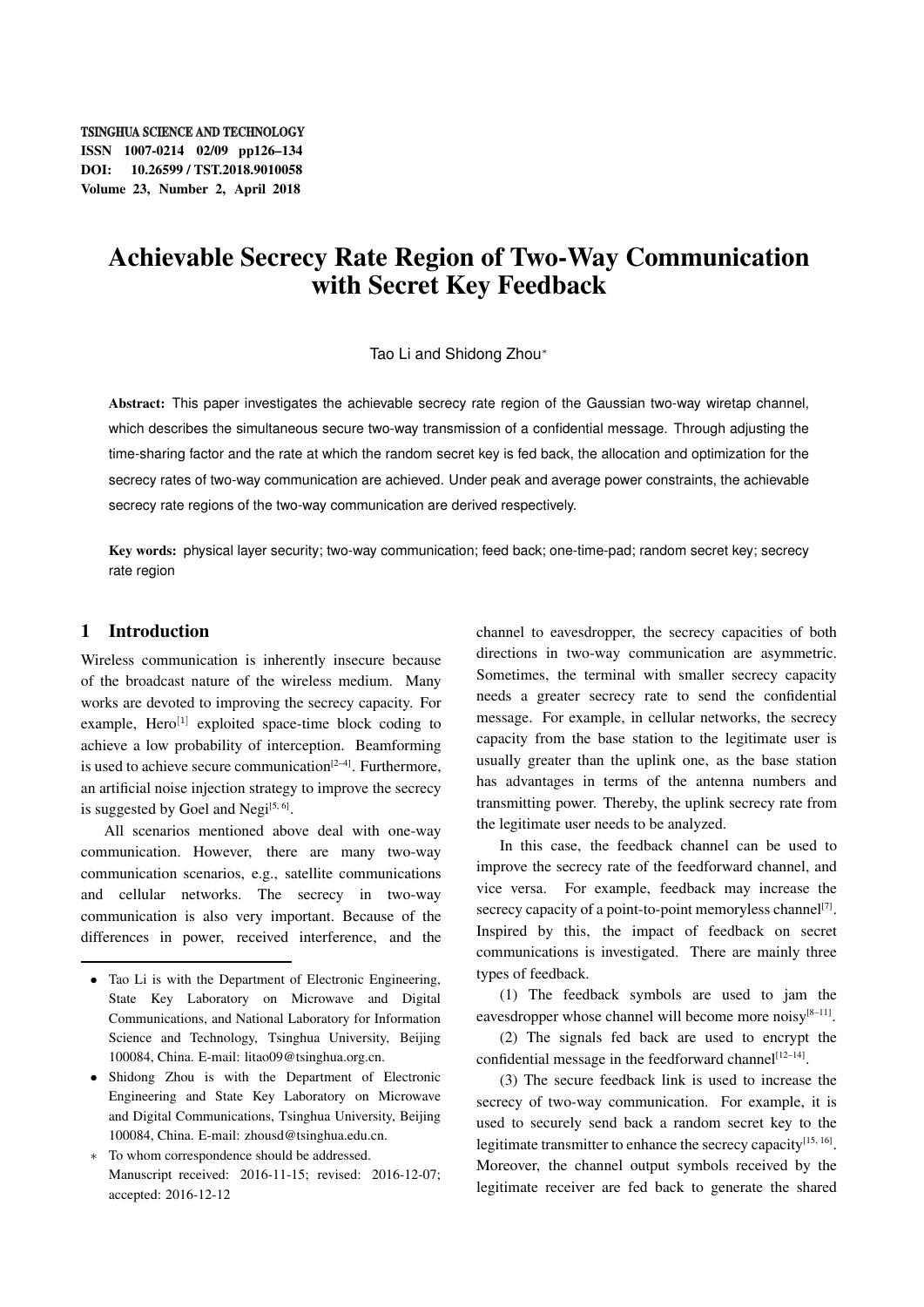#### **TSINGHUA SCIENCE AND TECHNOLOGY**

ISSN 1007-0214 02/09 pp126–134 DOI: 10.26599 / TST.2018.9010058 Volume 23, Number 2, April 2018

# Achievable Secrecy Rate Region of Two-Way Communication with Secret Key Feedback

#### Tao Li and Shidong Zhou*<sup>∗</sup>*

Abstract: This paper investigates the achievable secrecy rate region of the Gaussian two-way wiretap channel, which describes the simultaneous secure two-way transmission of a confidential message. Through adjusting the time-sharing factor and the rate at which the random secret key is fed back, the allocation and optimization for the secrecy rates of two-way communication are achieved. Under peak and average power constraints, the achievable secrecy rate regions of the two-way communication are derived respectively.

Key words: physical layer security; two-way communication; feed back; one-time-pad; random secret key; secrecy rate region

#### 1 Introduction

Wireless communication is inherently insecure because of the broadcast nature of the wireless medium. Many works are devoted to improving the secrecy capacity. For example. Hero<sup>[1]</sup> exploited space-time block coding to achieve a low probability of interception. Beamforming is used to achieve secure communication $[2-4]$ . Furthermore, an artificial noise injection strategy to improve the secrecy is suggested by Goel and Negi<sup>[5, 6]</sup>.

All scenarios mentioned above deal with one-way communication. However, there are many two-way communication scenarios, e.g., satellite communications and cellular networks. The secrecy in two-way communication is also very important. Because of the differences in power, received interference, and the channel to eavesdropper, the secrecy capacities of both directions in two-way communication are asymmetric. Sometimes, the terminal with smaller secrecy capacity needs a greater secrecy rate to send the confidential message. For example, in cellular networks, the secrecy capacity from the base station to the legitimate user is usually greater than the uplink one, as the base station has advantages in terms of the antenna numbers and transmitting power. Thereby, the uplink secrecy rate from the legitimate user needs to be analyzed.

In this case, the feedback channel can be used to improve the secrecy rate of the feedforward channel, and vice versa. For example, feedback may increase the secrecy capacity of a point-to-point memoryless channel $[7]$ . Inspired by this, the impact of feedback on secret communications is investigated. There are mainly three types of feedback.

(1) The feedback symbols are used to jam the eavesdropper whose channel will become more noisy<sup>[8-11]</sup>.

(2) The signals fed back are used to encrypt the confidential message in the feedforward channel<sup>[12-14]</sup>.

(3) The secure feedback link is used to increase the secrecy of two-way communication. For example, it is used to securely send back a random secret key to the legitimate transmitter to enhance the secrecy capacity<sup>[15, 16]</sup>. Moreover, the channel output symbols received by the legitimate receiver are fed back to generate the shared

*<sup>•</sup>* Tao Li is with the Department of Electronic Engineering, State Key Laboratory on Microwave and Digital Communications, and National Laboratory for Information Science and Technology, Tsinghua University, Beijing 100084, China. E-mail: litao09@tsinghua.org.cn.

*<sup>•</sup>* Shidong Zhou is with the Department of Electronic Engineering and State Key Laboratory on Microwave and Digital Communications, Tsinghua University, Beijing 100084, China. E-mail: zhousd@tsinghua.edu.cn.

*<sup>∗</sup>* To whom correspondence should be addressed. Manuscript received: 2016-11-15; revised: 2016-12-07; accepted: 2016-12-12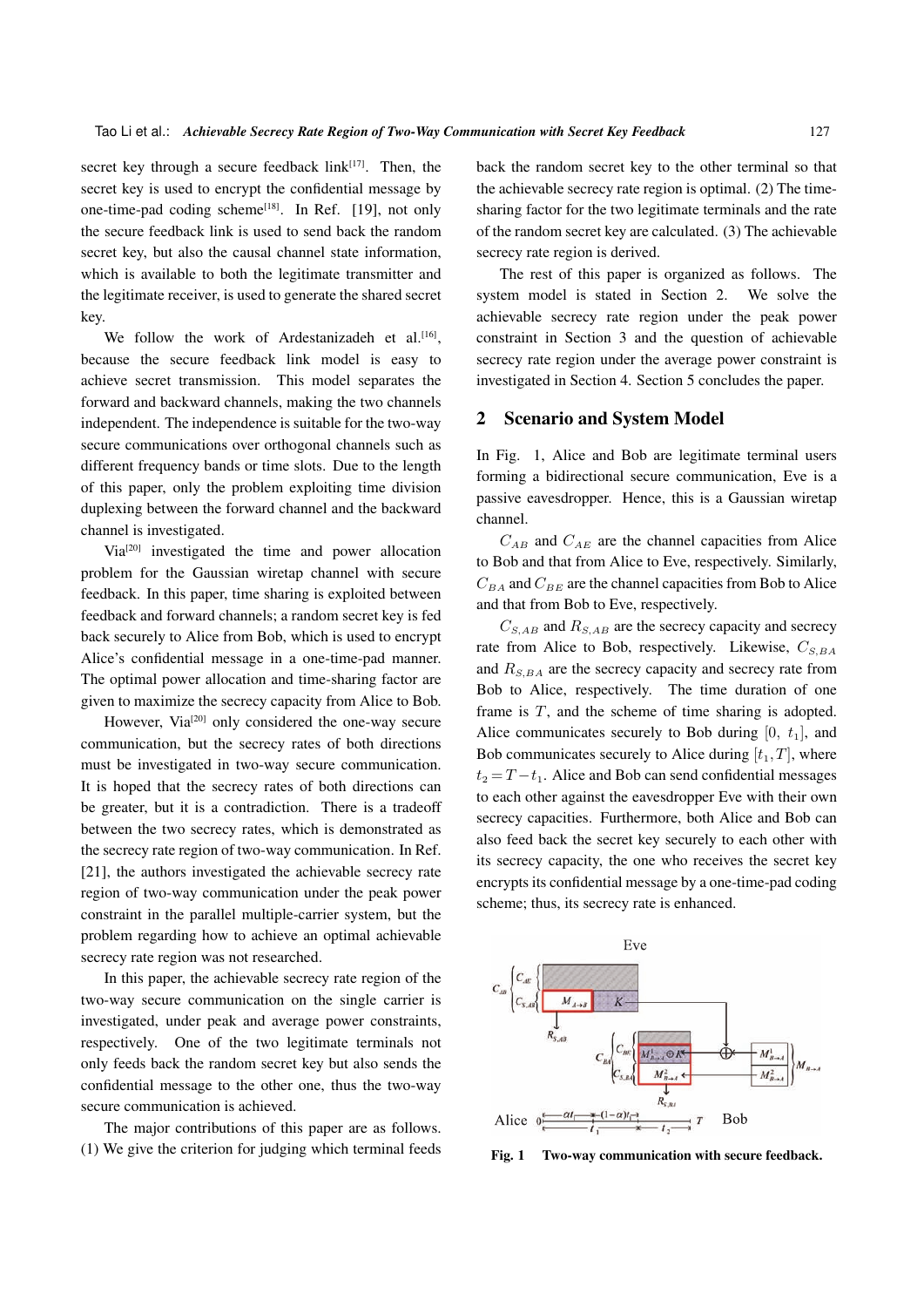secret key through a secure feedback  $link^{[17]}$ . Then, the secret key is used to encrypt the confidential message by one-time-pad coding scheme $^{[18]}$ . In Ref. [19], not only the secure feedback link is used to send back the random secret key, but also the causal channel state information, which is available to both the legitimate transmitter and the legitimate receiver, is used to generate the shared secret key.

We follow the work of Ardestanizadeh et al. $[16]$ , because the secure feedback link model is easy to achieve secret transmission. This model separates the forward and backward channels, making the two channels independent. The independence is suitable for the two-way secure communications over orthogonal channels such as different frequency bands or time slots. Due to the length of this paper, only the problem exploiting time division duplexing between the forward channel and the backward channel is investigated.

Via[20] investigated the time and power allocation problem for the Gaussian wiretap channel with secure feedback. In this paper, time sharing is exploited between feedback and forward channels; a random secret key is fed back securely to Alice from Bob, which is used to encrypt Alice's confidential message in a one-time-pad manner. The optimal power allocation and time-sharing factor are given to maximize the secrecy capacity from Alice to Bob.

However, Via<sup>[20]</sup> only considered the one-way secure communication, but the secrecy rates of both directions must be investigated in two-way secure communication. It is hoped that the secrecy rates of both directions can be greater, but it is a contradiction. There is a tradeoff between the two secrecy rates, which is demonstrated as the secrecy rate region of two-way communication. In Ref. [21], the authors investigated the achievable secrecy rate region of two-way communication under the peak power constraint in the parallel multiple-carrier system, but the problem regarding how to achieve an optimal achievable secrecy rate region was not researched.

In this paper, the achievable secrecy rate region of the two-way secure communication on the single carrier is investigated, under peak and average power constraints, respectively. One of the two legitimate terminals not only feeds back the random secret key but also sends the confidential message to the other one, thus the two-way secure communication is achieved.

The major contributions of this paper are as follows. (1) We give the criterion for judging which terminal feeds back the random secret key to the other terminal so that the achievable secrecy rate region is optimal. (2) The timesharing factor for the two legitimate terminals and the rate of the random secret key are calculated. (3) The achievable secrecy rate region is derived.

The rest of this paper is organized as follows. The system model is stated in Section 2. We solve the achievable secrecy rate region under the peak power constraint in Section 3 and the question of achievable secrecy rate region under the average power constraint is investigated in Section 4. Section 5 concludes the paper.

#### 2 Scenario and System Model

In Fig. 1, Alice and Bob are legitimate terminal users forming a bidirectional secure communication, Eve is a passive eavesdropper. Hence, this is a Gaussian wiretap channel.

 $C_{AB}$  and  $C_{AE}$  are the channel capacities from Alice to Bob and that from Alice to Eve, respectively. Similarly,  $C_{BA}$  and  $C_{BE}$  are the channel capacities from Bob to Alice and that from Bob to Eve, respectively.

*CS,AB* and *RS,AB* are the secrecy capacity and secrecy rate from Alice to Bob, respectively. Likewise, *CS,BA* and *RS,BA* are the secrecy capacity and secrecy rate from Bob to Alice, respectively. The time duration of one frame is *T*, and the scheme of time sharing is adopted. Alice communicates securely to Bob during  $[0, t<sub>1</sub>]$ , and Bob communicates securely to Alice during  $[t_1, T]$ , where  $t_2 = T - t_1$ . Alice and Bob can send confidential messages to each other against the eavesdropper Eve with their own secrecy capacities. Furthermore, both Alice and Bob can also feed back the secret key securely to each other with its secrecy capacity, the one who receives the secret key encrypts its confidential message by a one-time-pad coding scheme; thus, its secrecy rate is enhanced.



Fig. 1 Two-way communication with secure feedback.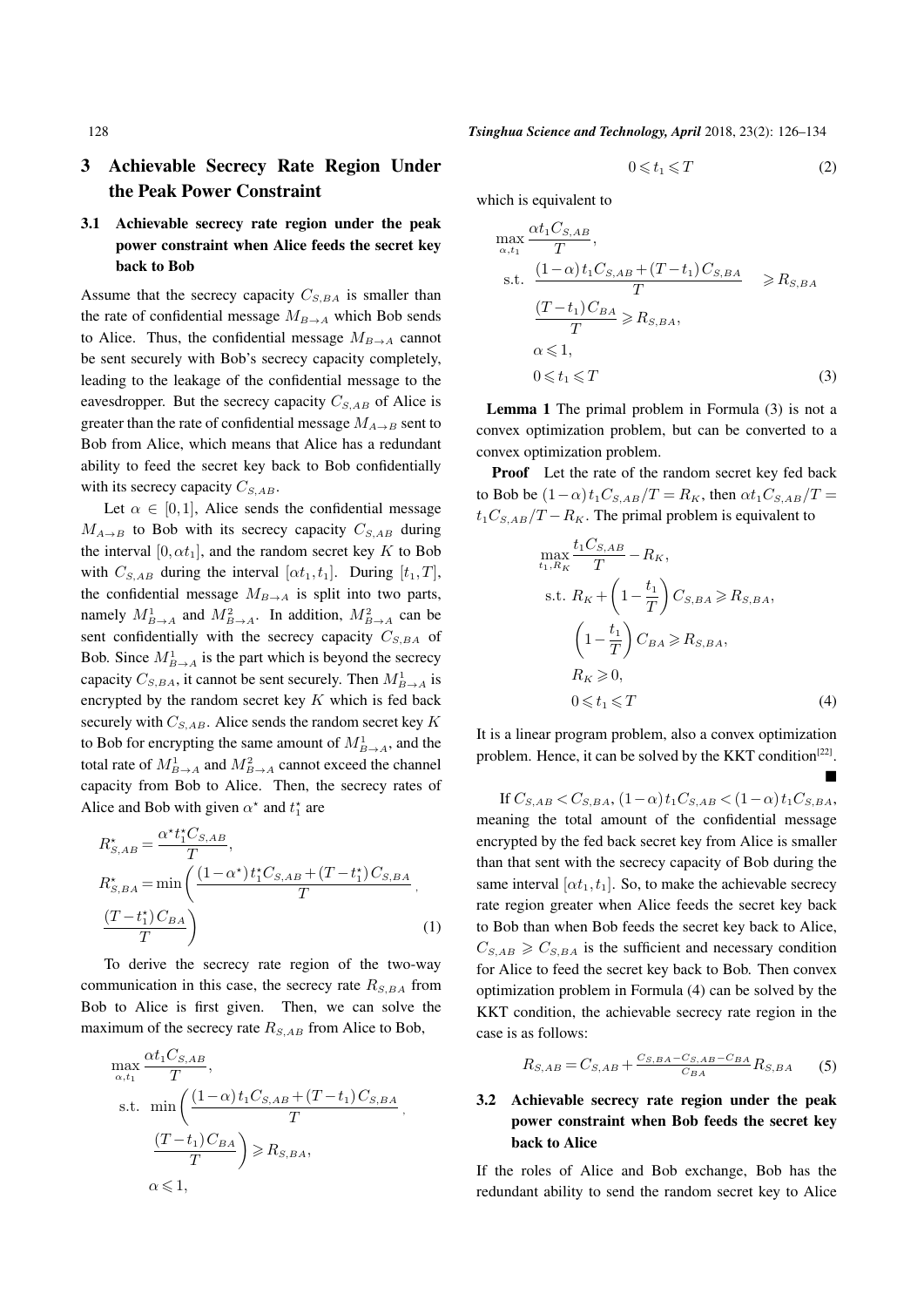# 3 Achievable Secrecy Rate Region Under the Peak Power Constraint

## 3.1 Achievable secrecy rate region under the peak power constraint when Alice feeds the secret key back to Bob

Assume that the secrecy capacity  $C_{S,BA}$  is smaller than the rate of confidential message  $M_{B\rightarrow A}$  which Bob sends to Alice. Thus, the confidential message  $M_{B\rightarrow A}$  cannot be sent securely with Bob's secrecy capacity completely, leading to the leakage of the confidential message to the eavesdropper. But the secrecy capacity  $C_{S,AB}$  of Alice is greater than the rate of confidential message  $M_{A\rightarrow B}$  sent to Bob from Alice, which means that Alice has a redundant ability to feed the secret key back to Bob confidentially with its secrecy capacity  $C_{S,AB}$ .

Let  $\alpha \in [0,1]$ , Alice sends the confidential message  $M_{A\rightarrow B}$  to Bob with its secrecy capacity  $C_{S,AB}$  during the interval  $[0, \alpha t_1]$ , and the random secret key *K* to Bob with  $C_{S,AB}$  during the interval  $[\alpha t_1, t_1]$ . During  $[t_1, T]$ , the confidential message  $M_{B\to A}$  is split into two parts, namely  $M_{B\to A}^1$  and  $M_{B\to A}^2$ . In addition,  $M_{B\to A}^2$  can be sent confidentially with the secrecy capacity  $C_{S,BA}$  of Bob. Since  $M_{B\to A}^1$  is the part which is beyond the secrecy capacity  $C_{S,BA}$ , it cannot be sent securely. Then  $M_{B\to A}^1$  is encrypted by the random secret key *K* which is fed back securely with *CS,AB*. Alice sends the random secret key *K* to Bob for encrypting the same amount of  $M_{B\to A}^1$ , and the total rate of  $M_{B\to A}^1$  and  $M_{B\to A}^2$  cannot exceed the channel capacity from Bob to Alice. Then, the secrecy rates of Alice and Bob with given  $\alpha^*$  and  $t_1^*$  are

$$
R_{S,AB}^{\star} = \frac{\alpha^{\star} t_1^{\star} C_{S,AB}}{T},
$$
  
\n
$$
R_{S,BA}^{\star} = \min \left( \frac{(1 - \alpha^{\star}) t_1^{\star} C_{S,AB} + (T - t_1^{\star}) C_{S,BA}}{T}, \frac{(T - t_1^{\star}) C_{BA}}{T} \right)
$$
\n(1)

To derive the secrecy rate region of the two-way communication in this case, the secrecy rate  $R_{S,BA}$  from Bob to Alice is first given. Then, we can solve the maximum of the secrecy rate  $R_{S,AB}$  from Alice to Bob,

$$
\max_{\alpha, t_1} \frac{\alpha t_1 C_{S, AB}}{T},
$$
\ns.t. 
$$
\min\left(\frac{(1-\alpha)t_1 C_{S, AB} + (T - t_1) C_{S, BA}}{T}, \frac{(T - t_1) C_{BA}}{T}\right) \ge R_{S, BA},
$$
\n
$$
\alpha \le 1,
$$

128 *Tsinghua Science and Technology, April* 2018, 23(2): 126–134

$$
0 \leqslant t_1 \leqslant T \tag{2}
$$

which is equivalent to

$$
\max_{\alpha, t_1} \frac{\alpha t_1 C_{S, AB}}{T},
$$
\ns.t. 
$$
\frac{(1-\alpha) t_1 C_{S, AB} + (T - t_1) C_{S, BA}}{T} \ge R_{S, BA}
$$
\n
$$
\frac{(T - t_1) C_{BA}}{T} \ge R_{S, BA},
$$
\n
$$
\alpha \le 1,
$$
\n
$$
0 \le t_1 \le T
$$
\n(3)

Lemma 1 The primal problem in Formula (3) is not a convex optimization problem, but can be converted to a convex optimization problem.

Proof Let the rate of the random secret key fed back to Bob be  $(1-\alpha)t_1C_{S,AB}/T = R_K$ , then  $\alpha t_1C_{S,AB}/T =$  $t_1C_{S,AB}/T - R_K$ . The primal problem is equivalent to

$$
\max_{t_1, R_K} \frac{t_1 C_{S, AB}}{T} - R_K,
$$
\n
$$
\text{s.t. } R_K + \left(1 - \frac{t_1}{T}\right) C_{S, BA} \ge R_{S, BA},
$$
\n
$$
\left(1 - \frac{t_1}{T}\right) C_{BA} \ge R_{S, BA},
$$
\n
$$
R_K \ge 0,
$$
\n
$$
0 \le t_1 \le T
$$
\n(4)

щ

It is a linear program problem, also a convex optimization problem. Hence, it can be solved by the KKT condition<sup>[22]</sup>.

If *CS,AB < CS,BA*, (1*−α*)*t*1*CS,AB <* (1*−α*)*t*1*CS,BA*, meaning the total amount of the confidential message encrypted by the fed back secret key from Alice is smaller than that sent with the secrecy capacity of Bob during the same interval  $[\alpha t_1, t_1]$ . So, to make the achievable secrecy rate region greater when Alice feeds the secret key back to Bob than when Bob feeds the secret key back to Alice,  $C_{S,AB} \geq C_{S,BA}$  is the sufficient and necessary condition for Alice to feed the secret key back to Bob. Then convex optimization problem in Formula (4) can be solved by the KKT condition, the achievable secrecy rate region in the case is as follows:

$$
R_{S,AB} = C_{S,AB} + \frac{C_{S,BA} - C_{S,AB} - C_{BA}}{C_{BA}} R_{S,BA}
$$
 (5)

# 3.2 Achievable secrecy rate region under the peak power constraint when Bob feeds the secret key back to Alice

If the roles of Alice and Bob exchange, Bob has the redundant ability to send the random secret key to Alice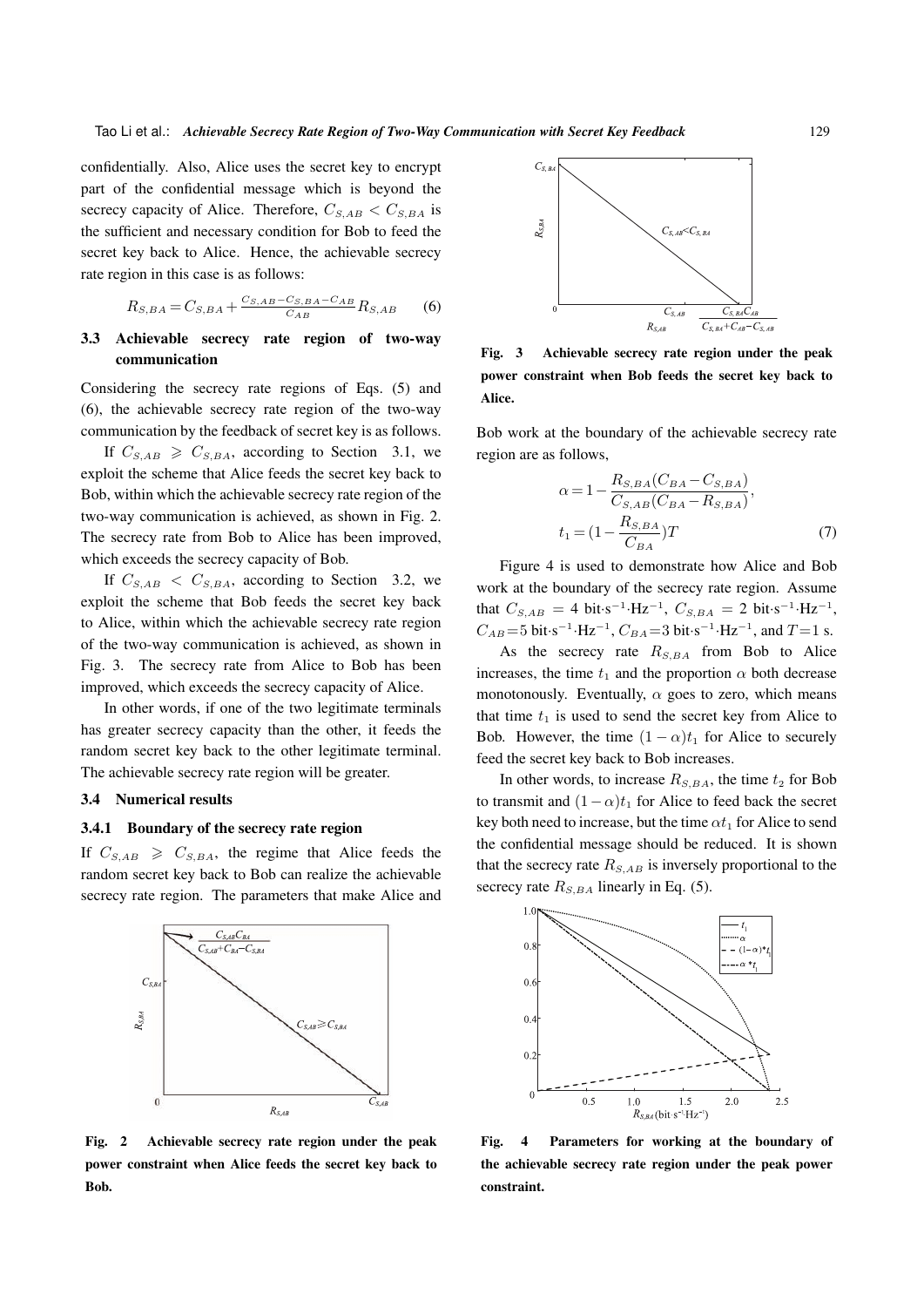confidentially. Also, Alice uses the secret key to encrypt part of the confidential message which is beyond the secrecy capacity of Alice. Therefore,  $C_{S,AB} < C_{S,BA}$  is the sufficient and necessary condition for Bob to feed the secret key back to Alice. Hence, the achievable secrecy rate region in this case is as follows:

$$
R_{S,BA} = C_{S,BA} + \frac{C_{S,AB} - C_{S,BA} - C_{AB}}{C_{AB}}R_{S,AB}
$$
 (6)

#### 3.3 Achievable secrecy rate region of two-way communication

Considering the secrecy rate regions of Eqs. (5) and (6), the achievable secrecy rate region of the two-way communication by the feedback of secret key is as follows.

If  $C_{S,AB} \geq C_{S,BA}$ , according to Section 3.1, we exploit the scheme that Alice feeds the secret key back to Bob, within which the achievable secrecy rate region of the two-way communication is achieved, as shown in Fig. 2. The secrecy rate from Bob to Alice has been improved, which exceeds the secrecy capacity of Bob.

If  $C_{S,AB} < C_{S,BA}$ , according to Section 3.2, we exploit the scheme that Bob feeds the secret key back to Alice, within which the achievable secrecy rate region of the two-way communication is achieved, as shown in Fig. 3. The secrecy rate from Alice to Bob has been improved, which exceeds the secrecy capacity of Alice.

In other words, if one of the two legitimate terminals has greater secrecy capacity than the other, it feeds the random secret key back to the other legitimate terminal. The achievable secrecy rate region will be greater.

#### 3.4 Numerical results

## 3.4.1 Boundary of the secrecy rate region

If  $C_{S,AB} \geq C_{S,BA}$ , the regime that Alice feeds the random secret key back to Bob can realize the achievable secrecy rate region. The parameters that make Alice and



Fig. 2 Achievable secrecy rate region under the peak power constraint when Alice feeds the secret key back to Bob.



Fig. 3 Achievable secrecy rate region under the peak power constraint when Bob feeds the secret key back to Alice.

Bob work at the boundary of the achievable secrecy rate region are as follows,

$$
\alpha = 1 - \frac{R_{S,BA}(C_{BA} - C_{S,BA})}{C_{S,AB}(C_{BA} - R_{S,BA})},
$$
  
\n
$$
t_1 = (1 - \frac{R_{S,BA}}{C_{BA}})T
$$
 (7)

Figure 4 is used to demonstrate how Alice and Bob work at the boundary of the secrecy rate region. Assume that  $C_{S,AB} = 4$  bit·s<sup>-1</sup>·Hz<sup>-1</sup>,  $C_{S,BA} = 2$  bit·s<sup>-1</sup>·Hz<sup>-1</sup>,  $C_{AB}$  = 5 bit · s<sup>-1</sup> ·Hz<sup>-1</sup></sub>,  $C_{BA}$  = 3 bit · s<sup>-1</sup> ·Hz<sup>-1</sup>, and *T* = 1 s.

As the secrecy rate *RS,BA* from Bob to Alice increases, the time  $t_1$  and the proportion  $\alpha$  both decrease monotonously. Eventually,  $\alpha$  goes to zero, which means that time  $t_1$  is used to send the secret key from Alice to Bob. However, the time  $(1 - \alpha)t_1$  for Alice to securely feed the secret key back to Bob increases.

In other words, to increase  $R_{S,BA}$ , the time  $t_2$  for Bob to transmit and  $(1-\alpha)t_1$  for Alice to feed back the secret key both need to increase, but the time  $\alpha t_1$  for Alice to send the confidential message should be reduced. It is shown that the secrecy rate  $R_{S,AB}$  is inversely proportional to the secrecy rate  $R_{S,BA}$  linearly in Eq. (5).



Fig. 4 Parameters for working at the boundary of the achievable secrecy rate region under the peak power constraint.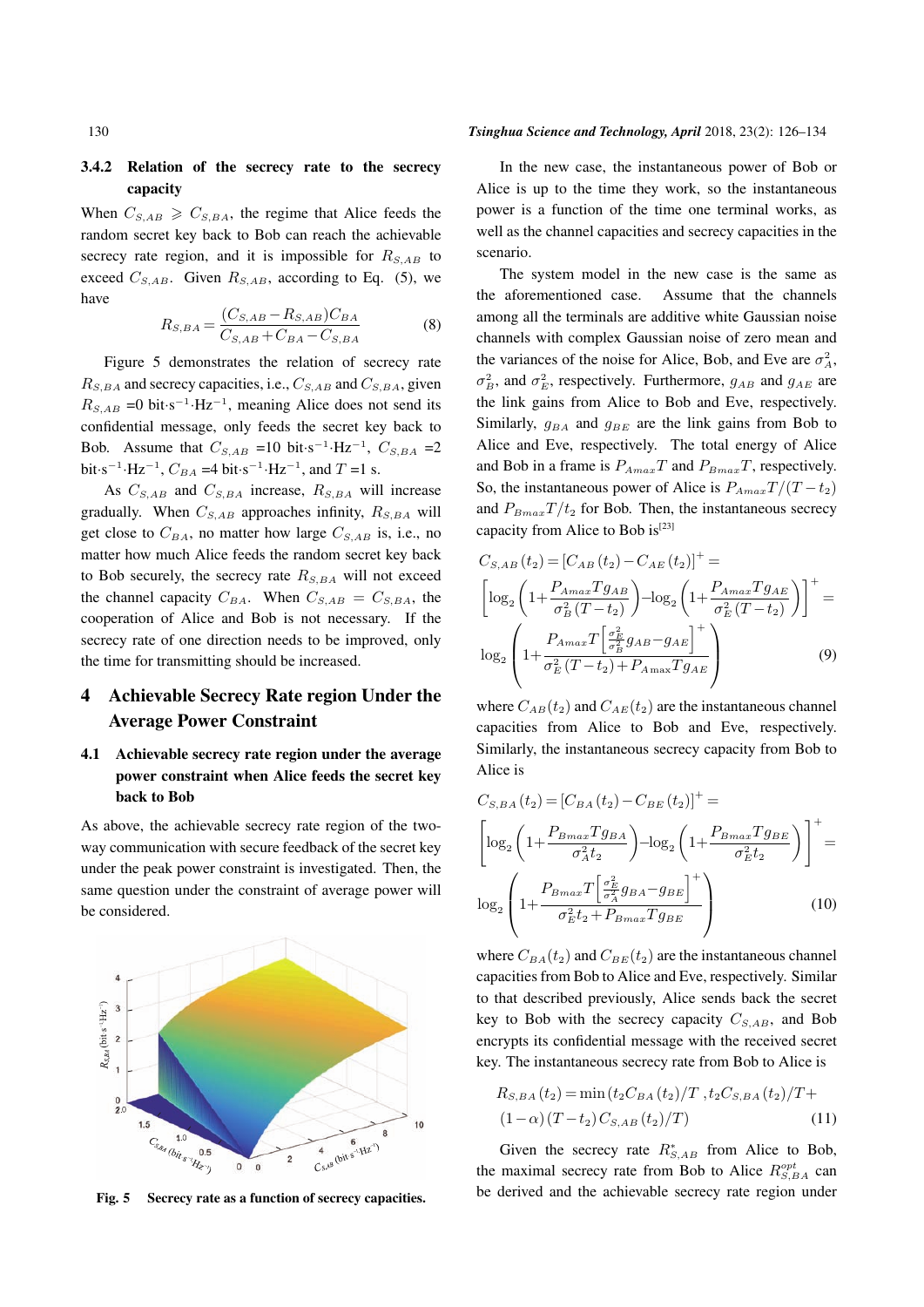#### 3.4.2 Relation of the secrecy rate to the secrecy capacity

When  $C_{S,AB} \geq C_{S,BA}$ , the regime that Alice feeds the random secret key back to Bob can reach the achievable secrecy rate region, and it is impossible for  $R_{S,AB}$  to exceed  $C_{S,AB}$ . Given  $R_{S,AB}$ , according to Eq. (5), we have

$$
R_{S,BA} = \frac{(C_{S,AB} - R_{S,AB})C_{BA}}{C_{S,AB} + C_{BA} - C_{S,BA}}
$$
(8)

Figure 5 demonstrates the relation of secrecy rate  $R_{S,BA}$  and secrecy capacities, i.e.,  $C_{S,AB}$  and  $C_{S,BA}$ , given  $R_{S,AB}$  =0 bit·s<sup>-1</sup>·Hz<sup>-1</sup>, meaning Alice does not send its confidential message, only feeds the secret key back to Bob. Assume that  $C_{S,AB} = 10$  bit $\cdot$ s<sup>-1</sup> $\cdot$ Hz<sup>-1</sup>,  $C_{S,BA} = 2$  $\text{bit·s}^{-1} \cdot \text{Hz}^{-1}$ ,  $C_{BA} = 4 \text{ bit·s}^{-1} \cdot \text{Hz}^{-1}$ , and  $T = 1 \text{ s}$ .

As  $C_{S,AB}$  and  $C_{S,BA}$  increase,  $R_{S,BA}$  will increase gradually. When  $C_{S,AB}$  approaches infinity,  $R_{S,BA}$  will get close to  $C_{BA}$ , no matter how large  $C_{S,AB}$  is, i.e., no matter how much Alice feeds the random secret key back to Bob securely, the secrecy rate  $R_{S,BA}$  will not exceed the channel capacity  $C_{BA}$ . When  $C_{S,AB} = C_{S,BA}$ , the cooperation of Alice and Bob is not necessary. If the secrecy rate of one direction needs to be improved, only the time for transmitting should be increased.

# 4 Achievable Secrecy Rate region Under the Average Power Constraint

# 4.1 Achievable secrecy rate region under the average power constraint when Alice feeds the secret key back to Bob

As above, the achievable secrecy rate region of the twoway communication with secure feedback of the secret key under the peak power constraint is investigated. Then, the same question under the constraint of average power will be considered.



Fig. 5 Secrecy rate as a function of secrecy capacities.

#### 130 *Tsinghua Science and Technology, April* 2018, 23(2): 126–134

In the new case, the instantaneous power of Bob or Alice is up to the time they work, so the instantaneous power is a function of the time one terminal works, as well as the channel capacities and secrecy capacities in the scenario.

The system model in the new case is the same as the aforementioned case. Assume that the channels among all the terminals are additive white Gaussian noise channels with complex Gaussian noise of zero mean and the variances of the noise for Alice, Bob, and Eve are  $\sigma_A^2$ ,  $\sigma_B^2$ , and  $\sigma_E^2$ , respectively. Furthermore, *g<sub>AB</sub>* and *g<sub>AE</sub>* are the link gains from Alice to Bob and Eve, respectively. Similarly,  $g_{BA}$  and  $g_{BE}$  are the link gains from Bob to Alice and Eve, respectively. The total energy of Alice and Bob in a frame is  $P_{A max}T$  and  $P_{B max}T$ , respectively. So, the instantaneous power of Alice is  $P_{A max} T / (T - t_2)$ and  $P_{Bmax}T/t_2$  for Bob. Then, the instantaneous secrecy capacity from Alice to Bob is $^{[23]}$ 

$$
C_{S,AB}(t_2) = [C_{AB}(t_2) - C_{AE}(t_2)]^+ =
$$
  
\n
$$
\left[ \log_2 \left( 1 + \frac{P_{Amax} T g_{AB}}{\sigma_B^2 (T - t_2)} \right) - \log_2 \left( 1 + \frac{P_{Amax} T g_{AE}}{\sigma_E^2 (T - t_2)} \right) \right]^+
$$
  
\n
$$
\log_2 \left( 1 + \frac{P_{Amax} T \left[ \frac{\sigma_E^2}{\sigma_B^2} g_{AB} - g_{AE} \right]^+}{\sigma_E^2 (T - t_2) + P_{Amax} T g_{AE}} \right)
$$
(9)

where  $C_{AB}(t_2)$  and  $C_{AE}(t_2)$  are the instantaneous channel capacities from Alice to Bob and Eve, respectively. Similarly, the instantaneous secrecy capacity from Bob to Alice is

$$
C_{S,BA}(t_2) = \left[C_{BA}(t_2) - C_{BE}(t_2)\right]^+ =
$$
\n
$$
\left[\log_2\left(1 + \frac{P_{Bmax}Tg_{BA}}{\sigma_A^2 t_2}\right) - \log_2\left(1 + \frac{P_{Bmax}Tg_{BE}}{\sigma_E^2 t_2}\right)\right]^+ =
$$
\n
$$
\log_2\left(1 + \frac{P_{Bmax}T\left[\frac{\sigma_E^2}{\sigma_A^2}g_{BA} - g_{BE}\right]^+}{\sigma_E^2 t_2 + P_{Bmax}Tg_{BE}}\right) \tag{10}
$$

where  $C_{BA}(t_2)$  and  $C_{BE}(t_2)$  are the instantaneous channel capacities from Bob to Alice and Eve, respectively. Similar to that described previously, Alice sends back the secret key to Bob with the secrecy capacity  $C_{S,AB}$ , and Bob encrypts its confidential message with the received secret key. The instantaneous secrecy rate from Bob to Alice is

$$
R_{S,BA}(t_2) = \min(t_2 C_{BA}(t_2)/T, t_2 C_{S,BA}(t_2)/T + (1-\alpha)(T-t_2)C_{S,AB}(t_2)/T)
$$
\n(11)

Given the secrecy rate  $R_{S,AB}^*$  from Alice to Bob, the maximal secrecy rate from Bob to Alice  $R_{S,BA}^{opt}$  can be derived and the achievable secrecy rate region under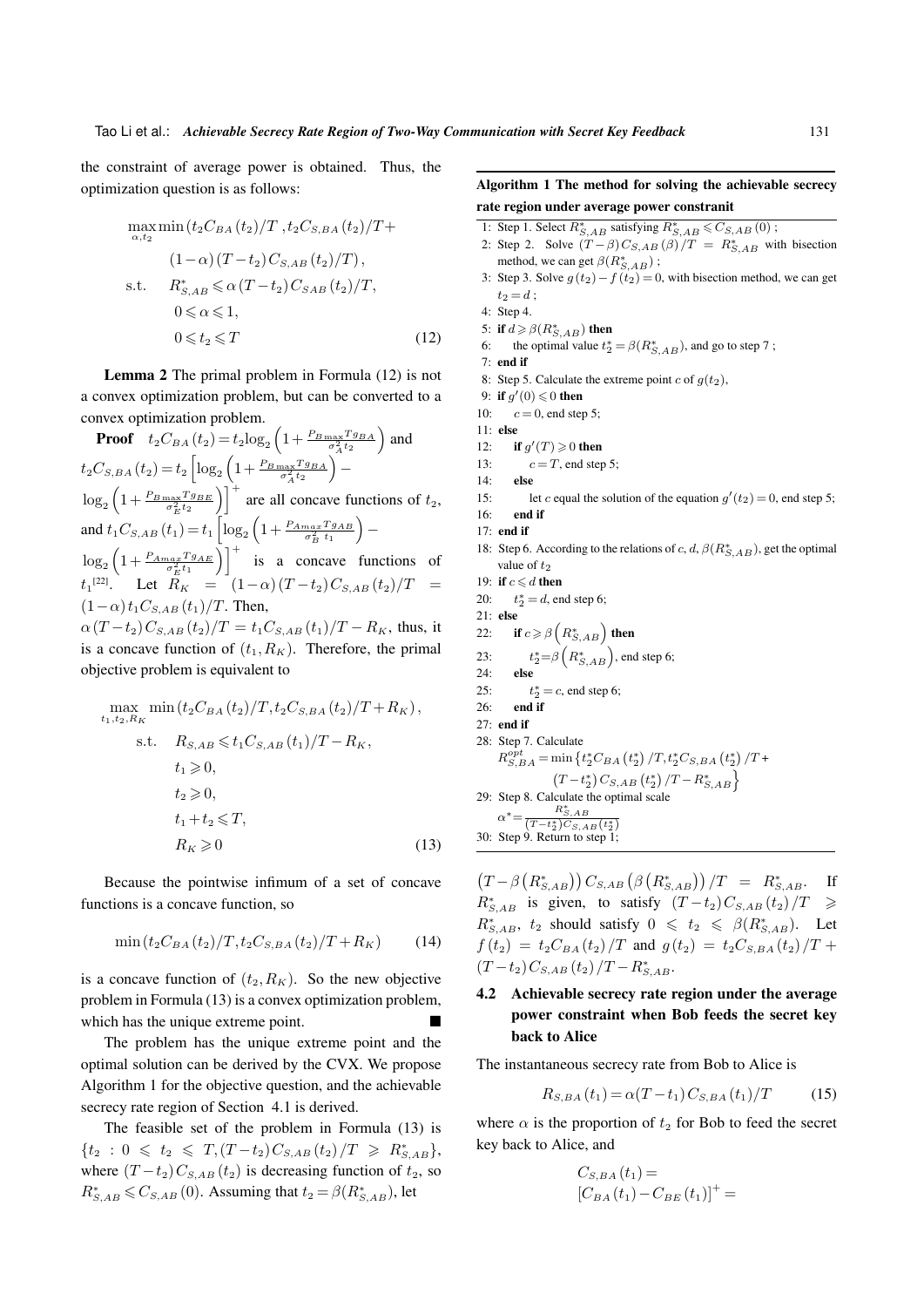the constraint of average power is obtained. Thus, the optimization question is as follows:

$$
\max_{\alpha, t_2} \min(t_2 C_{BA}(t_2)/T, t_2 C_{S,BA}(t_2)/T +
$$
  
\n
$$
(1-\alpha)(T-t_2)C_{S,AB}(t_2)/T),
$$
  
\ns.t.  $R_{S,AB}^* \leq \alpha (T-t_2)C_{SAB}(t_2)/T,$   
\n $0 \leq \alpha \leq 1,$   
\n $0 \leq t_2 \leq T$  (12)

Lemma 2 The primal problem in Formula (12) is not a convex optimization problem, but can be converted to a convex optimization problem.

**Proof** 
$$
t_2C_{BA}(t_2) = t_2 \log_2 \left(1 + \frac{P_{B\max}T_{GBA}}{\sigma_A^2 t_2}\right)
$$
 and  
\n $t_2C_{S,BA}(t_2) = t_2 \left[\log_2 \left(1 + \frac{P_{B\max}T_{GBA}}{\sigma_A^2 t_2}\right) - \log_2 \left(1 + \frac{P_{B\max}T_{GBA}}{\sigma_E^2 t_2}\right)\right]^+$  are all concave functions of  $t_2$ ,  
\nand  $t_1C_{S,AB}(t_1) = t_1 \left[\log_2 \left(1 + \frac{P_{A\max}T_{BAB}}{\sigma_B^2 t_1}\right) - \log_2 \left(1 + \frac{P_{A\max}T_{GBB}}{\sigma_E^2 t_1}\right)\right]^+$  is a concave functions of  
\n $t_1^{[22]}$ . Let  $R_K = (1-\alpha)(T-t_2)C_{S,AB}(t_2)/T = (1-\alpha)t_1C_{S,AB}(t_1)/T$ . Then,

 $\alpha (T - t_2) C_{S,AB} (t_2)/T = t_1 C_{S,AB} (t_1)/T - R_K$ , thus, it is a concave function of  $(t_1, R_K)$ . Therefore, the primal objective problem is equivalent to

$$
\max_{t_1, t_2, R_K} \min(t_2 C_{BA}(t_2)/T, t_2 C_{S, BA}(t_2)/T + R_K),
$$
  
s.t.  $R_{S, AB} \le t_1 C_{S, AB}(t_1)/T - R_K,$   
 $t_1 \ge 0,$   
 $t_2 \ge 0,$   
 $t_1 + t_2 \le T,$   
 $R_K \ge 0$  (13)

Because the pointwise infimum of a set of concave functions is a concave function, so

$$
\min\left(t_2 C_{BA}(t_2)/T, t_2 C_{S,BA}(t_2)/T + R_K\right) \tag{14}
$$

is a concave function of  $(t_2, R_K)$ . So the new objective problem in Formula (13) is a convex optimization problem, which has the unique extreme point.

The problem has the unique extreme point and the optimal solution can be derived by the CVX. We propose Algorithm 1 for the objective question, and the achievable secrecy rate region of Section 4.1 is derived.

The feasible set of the problem in Formula (13) is  ${t_2 : 0 \leq t_2 \leq T, (T-t_2)C_{S,AB}(t_2)/T \geq R^*_{S,AB}}$ where  $(T - t_2)C_{S,AB}(t_2)$  is decreasing function of  $t_2$ , so  $R_{S,AB}^* \leqslant C_{S,AB}$  (0). Assuming that  $t_2 = \beta(R_{S,AB}^*)$ , let

#### Algorithm 1 The method for solving the achievable secrecy rate region under average power constranit

- 1: Step 1. Select  $R_{S,AB}^*$  satisfying  $R_{S,AB}^* \leq C_{S,AB}(0)$ ;
- 2: Step 2. Solve  $(T \beta)C_{S,AB}(\beta)/T = R_{S,AB}^*$  with bisection method, we can get  $\beta(R^*_{S,AB})$ ;
- 3: Step 3. Solve  $g(t_2) f(t_2) = 0$ , with bisection method, we can get  $t_2 = d$ ;

- 5: if  $d \geqslant \beta(R^*_{S,AB})$  then
- 6: the optimal value  $t_2^* = \beta(R_{S,AB}^*)$ , and go to step 7;
- 7: end if
- 8: Step 5. Calculate the extreme point  $c$  of  $g(t_2)$ ,
- 9: if  $g'(0) \leqslant 0$  then
- 10:  $c = 0$ , end step 5;
- 11: else
- 12: **if**  $g'(T) \ge 0$  then
- 13:  $c = T$ , end step 5;
- 14: else
- 15: let *c* equal the solution of the equation  $g'(t_2) = 0$ , end step 5;
- 16: end if
- 17: end if
- 18: Step 6. According to the relations of *c*, *d*,  $\beta(R^*_{S,AB})$ , get the optimal value of  $t_2$
- 19: if  $c \le d$  then
- 20: *t*  $x_2^* = d$ , end step 6;
- 21: else

22: if 
$$
c \ge \beta \left(R_{S,AB}^*\right)
$$
 then

- 23: *t ∗* <sup>2</sup>=*β* ( *R∗ S,AB*) , end step 6;
- 24: else
- $25.$  $*$ <sup>\*</sup><sub>2</sub> = *c*, end step 6;
- $26$ : end if
- 27: end if

28: Step 7. Calculate  
\n
$$
R_{S,BA}^{opt} = \min \left\{ t_2^* C_{BA} \left( t_2^* \right) / T, t_2^* C_{S,BA} \left( t_2^* \right) / T + \frac{\left( T - t_2^* \right) C_{S,AB} \left( t_2^* \right) / T - R_{S,AB}^* \right\}
$$
\n29: Step 8. Calculate the optimal scale  
\n
$$
\alpha^* = \frac{R_{S,AB}^*}{(T - t_2^*) C_{S,AB} \left( t_2^* \right)}
$$

30: Step 9. Return to step 1;

 $(T - \beta(R_{S,AB}^*)) C_{S,AB} (\beta(R_{S,AB}^*)) / T = R_{S,AB}^*$ . If  $R_{S,AB}^*$  is given, to satisfy  $(T-t_2)C_{S,AB}(t_2)/T \ge$  $R_{S,AB}^*$ ,  $t_2$  should satisfy  $0 \le t_2 \le \beta(R_{S,AB}^*)$ . Let  $f(t_2) = t_2 C_{BA}(t_2)/T$  and  $g(t_2) = t_2 C_{S,BA}(t_2)/T + T_2$  $(T-t_2)C_{S,AB}(t_2)/T-R_{S,AB}^*$ .

# 4.2 Achievable secrecy rate region under the average power constraint when Bob feeds the secret key back to Alice

The instantaneous secrecy rate from Bob to Alice is

$$
R_{S,BA}(t_1) = \alpha (T - t_1) C_{S,BA}(t_1) / T \tag{15}
$$

where  $\alpha$  is the proportion of  $t_2$  for Bob to feed the secret key back to Alice, and

$$
C_{S,BA}(t_1) = [C_{BA}(t_1) - C_{BE}(t_1)]^+ =
$$

<sup>4:</sup> Step 4.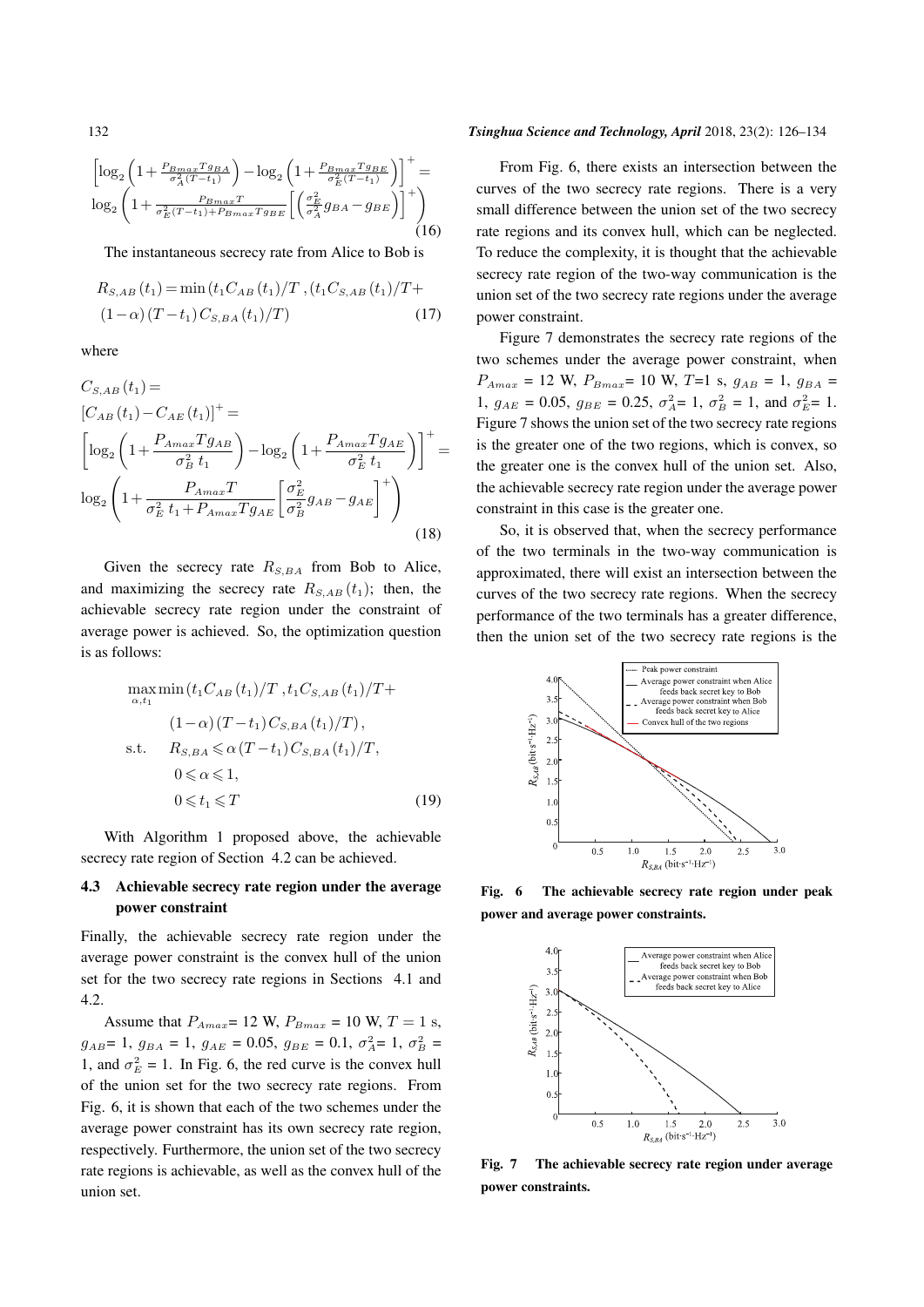$$
\left[\log_2\left(1+\frac{P_{Bmax}Tg_{BA}}{\sigma_A^2(T-t_1)}\right)-\log_2\left(1+\frac{P_{Bmax}Tg_{BE}}{\sigma_E^2(T-t_1)}\right)\right]^+=
$$
  

$$
\log_2\left(1+\frac{P_{Bmax}T}{\sigma_E^2(T-t_1)+P_{Bmax}Tg_{BE}}\left[\left(\frac{\sigma_E^2}{\sigma_A^2}g_{BA}-g_{BE}\right)\right]^+\right)
$$
 (16)

The instantaneous secrecy rate from Alice to Bob is

$$
R_{S,AB}(t_1) = \min(t_1 C_{AB}(t_1)/T, (t_1 C_{S,AB}(t_1)/T + (1-\alpha)(T-t_1)C_{S,BA}(t_1)/T)
$$
\n(17)

where

$$
C_{S,AB}(t_1) =
$$
  
\n
$$
[C_{AB}(t_1) - C_{AE}(t_1)]^+ =
$$
  
\n
$$
\left[ \log_2 \left( 1 + \frac{P_{Amax} T g_{AB}}{\sigma_B^2 t_1} \right) - \log_2 \left( 1 + \frac{P_{Amax} T g_{AE}}{\sigma_E^2 t_1} \right) \right]^+
$$
  
\n
$$
\log_2 \left( 1 + \frac{P_{Amax} T}{\sigma_E^2 t_1 + P_{Amax} T g_{AE}} \left[ \frac{\sigma_E^2}{\sigma_B^2} g_{AB} - g_{AE} \right]^+ \right)
$$
\n(18)

Given the secrecy rate  $R_{S,BA}$  from Bob to Alice, and maximizing the secrecy rate  $R_{S,AB}(t_1)$ ; then, the achievable secrecy rate region under the constraint of average power is achieved. So, the optimization question is as follows:

$$
\max_{\alpha, t_1} \min(t_1 C_{AB}(t_1)/T, t_1 C_{S,AB}(t_1)/T +
$$
  
\n
$$
(1 - \alpha)(T - t_1) C_{S,BA}(t_1)/T),
$$
  
\ns.t.  $R_{S,BA} \leq \alpha (T - t_1) C_{S,BA}(t_1)/T,$   
\n $0 \leq \alpha \leq 1,$   
\n $0 \leq t_1 \leq T$  (19)

With Algorithm 1 proposed above, the achievable secrecy rate region of Section 4.2 can be achieved.

### 4.3 Achievable secrecy rate region under the average power constraint

Finally, the achievable secrecy rate region under the average power constraint is the convex hull of the union set for the two secrecy rate regions in Sections 4.1 and 4.2.

Assume that  $P_{Amax} = 12 \text{ W}$ ,  $P_{Bmax} = 10 \text{ W}$ ,  $T = 1 \text{ s}$ ,  $g_{AB} = 1$ ,  $g_{BA} = 1$ ,  $g_{AE} = 0.05$ ,  $g_{BE} = 0.1$ ,  $\sigma_A^2 = 1$ ,  $\sigma_B^2 =$ 1, and  $\sigma_E^2 = 1$ . In Fig. 6, the red curve is the convex hull of the union set for the two secrecy rate regions. From Fig. 6, it is shown that each of the two schemes under the average power constraint has its own secrecy rate region, respectively. Furthermore, the union set of the two secrecy rate regions is achievable, as well as the convex hull of the union set.

#### 132 *Tsinghua Science and Technology, April* 2018, 23(2): 126–134

From Fig. 6, there exists an intersection between the curves of the two secrecy rate regions. There is a very small difference between the union set of the two secrecy rate regions and its convex hull, which can be neglected. To reduce the complexity, it is thought that the achievable secrecy rate region of the two-way communication is the union set of the two secrecy rate regions under the average power constraint.

Figure 7 demonstrates the secrecy rate regions of the two schemes under the average power constraint, when  $P_{Amax} = 12$  W,  $P_{Bmax} = 10$  W,  $T=1$  s,  $g_{AB} = 1$ ,  $g_{BA} =$ 1,  $g_{AE} = 0.05$ ,  $g_{BE} = 0.25$ ,  $\sigma_A^2 = 1$ ,  $\sigma_B^2 = 1$ , and  $\sigma_E^2 = 1$ . Figure 7 shows the union set of the two secrecy rate regions is the greater one of the two regions, which is convex, so the greater one is the convex hull of the union set. Also, the achievable secrecy rate region under the average power constraint in this case is the greater one.

So, it is observed that, when the secrecy performance of the two terminals in the two-way communication is approximated, there will exist an intersection between the curves of the two secrecy rate regions. When the secrecy performance of the two terminals has a greater difference, then the union set of the two secrecy rate regions is the



Fig. 6 The achievable secrecy rate region under peak power and average power constraints.



Fig. 7 The achievable secrecy rate region under average power constraints.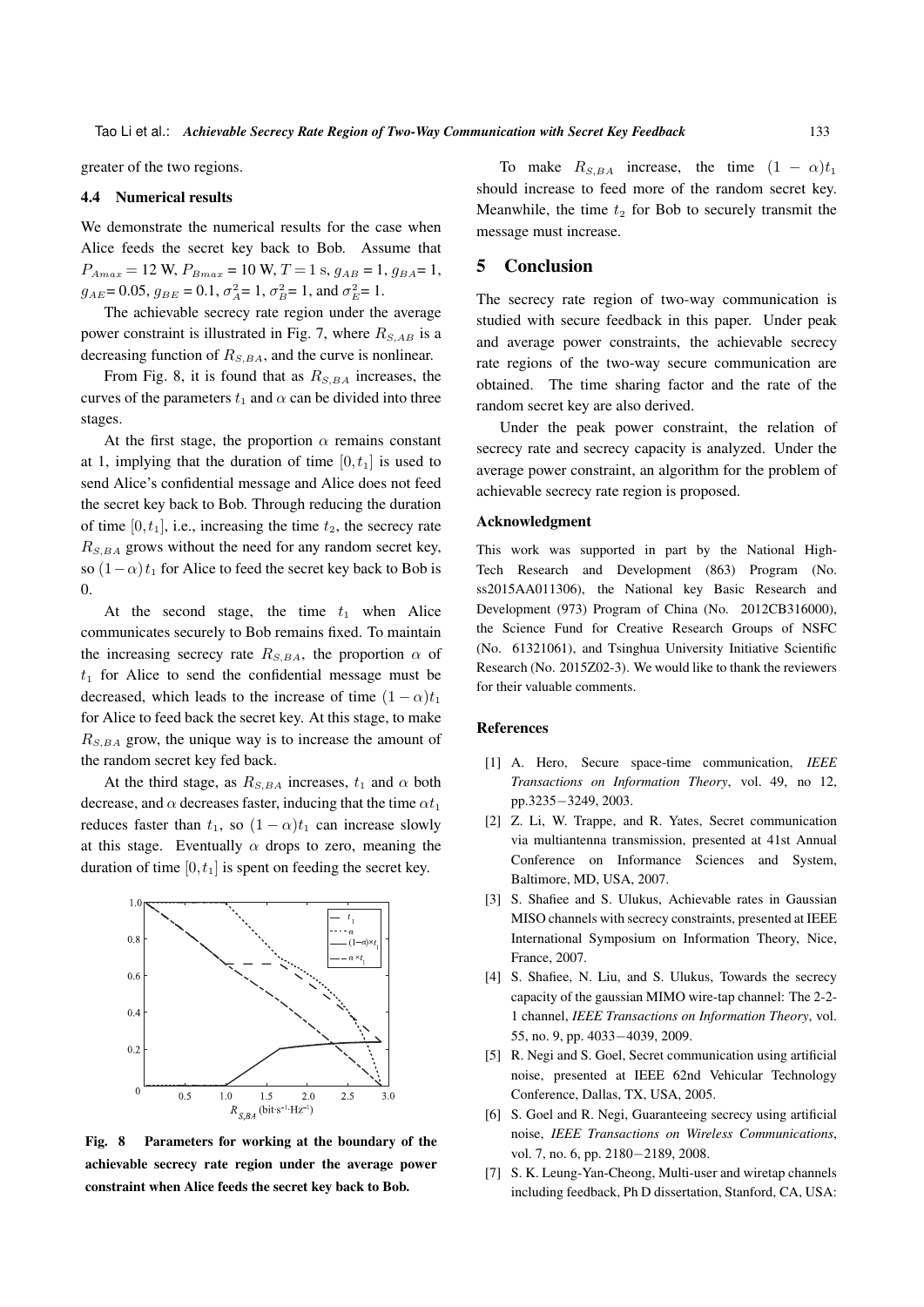greater of the two regions.

#### 4.4 Numerical results

We demonstrate the numerical results for the case when Alice feeds the secret key back to Bob. Assume that  $P_{Amax} = 12 \text{ W}, P_{Bmax} = 10 \text{ W}, T = 1 \text{ s}, g_{AB} = 1, g_{BA} = 1$  $g_{A E} = 0.05$ ,  $g_{B E} = 0.1$ ,  $\sigma_A^2 = 1$ ,  $\sigma_B^2 = 1$ , and  $\sigma_E^2 = 1$ .

The achievable secrecy rate region under the average power constraint is illustrated in Fig. 7, where  $R_{S, AB}$  is a decreasing function of  $R_{S,BA}$ , and the curve is nonlinear.

From Fig. 8, it is found that as  $R_{S,BA}$  increases, the curves of the parameters  $t_1$  and  $\alpha$  can be divided into three stages.

At the first stage, the proportion  $\alpha$  remains constant at 1, implying that the duration of time  $[0, t<sub>1</sub>]$  is used to send Alice's confidential message and Alice does not feed the secret key back to Bob. Through reducing the duration of time  $[0, t<sub>1</sub>]$ , i.e., increasing the time  $t<sub>2</sub>$ , the secrecy rate *RS,BA* grows without the need for any random secret key, so  $(1-\alpha)t_1$  for Alice to feed the secret key back to Bob is 0.

At the second stage, the time  $t_1$  when Alice communicates securely to Bob remains fixed. To maintain the increasing secrecy rate  $R_{S,BA}$ , the proportion  $\alpha$  of  $t_1$  for Alice to send the confidential message must be decreased, which leads to the increase of time  $(1 - \alpha)t_1$ for Alice to feed back the secret key. At this stage, to make *RS,BA* grow, the unique way is to increase the amount of the random secret key fed back.

At the third stage, as  $R_{S,BA}$  increases,  $t_1$  and  $\alpha$  both decrease, and  $\alpha$  decreases faster, inducing that the time  $\alpha t_1$ reduces faster than  $t_1$ , so  $(1 - \alpha)t_1$  can increase slowly at this stage. Eventually  $\alpha$  drops to zero, meaning the duration of time [0*, t*1] is spent on feeding the secret key.



Fig. 8 Parameters for working at the boundary of the achievable secrecy rate region under the average power constraint when Alice feeds the secret key back to Bob.

To make  $R_{S,BA}$  increase, the time  $(1 - \alpha)t_1$ should increase to feed more of the random secret key. Meanwhile, the time  $t_2$  for Bob to securely transmit the message must increase.

#### 5 Conclusion

The secrecy rate region of two-way communication is studied with secure feedback in this paper. Under peak and average power constraints, the achievable secrecy rate regions of the two-way secure communication are obtained. The time sharing factor and the rate of the random secret key are also derived.

Under the peak power constraint, the relation of secrecy rate and secrecy capacity is analyzed. Under the average power constraint, an algorithm for the problem of achievable secrecy rate region is proposed.

#### Acknowledgment

This work was supported in part by the National High-Tech Research and Development (863) Program (No. ss2015AA011306), the National key Basic Research and Development (973) Program of China (No. 2012CB316000), the Science Fund for Creative Research Groups of NSFC (No. 61321061), and Tsinghua University Initiative Scientific Research (No. 2015Z02-3). We would like to thank the reviewers for their valuable comments.

#### References

- [1] A. Hero, Secure space-time communication, *IEEE Transactions on Information Theory*, vol. 49, no 12, pp.3235*−*3249, 2003.
- [2] Z. Li, W. Trappe, and R. Yates, Secret communication via multiantenna transmission, presented at 41st Annual Conference on Informance Sciences and System, Baltimore, MD, USA, 2007.
- [3] S. Shafiee and S. Ulukus, Achievable rates in Gaussian MISO channels with secrecy constraints, presented at IEEE International Symposium on Information Theory, Nice, France, 2007.
- [4] S. Shafiee, N. Liu, and S. Ulukus, Towards the secrecy capacity of the gaussian MIMO wire-tap channel: The 2-2- 1 channel, *IEEE Transactions on Information Theory*, vol. 55, no. 9, pp. 4033*−*4039, 2009.
- [5] R. Negi and S. Goel, Secret communication using artificial noise, presented at IEEE 62nd Vehicular Technology Conference, Dallas, TX, USA, 2005.
- [6] S. Goel and R. Negi, Guaranteeing secrecy using artificial noise, *IEEE Transactions on Wireless Communications*, vol. 7, no. 6, pp. 2180*−*2189, 2008.
- [7] S. K. Leung-Yan-Cheong, Multi-user and wiretap channels including feedback, Ph D dissertation, Stanford, CA, USA: